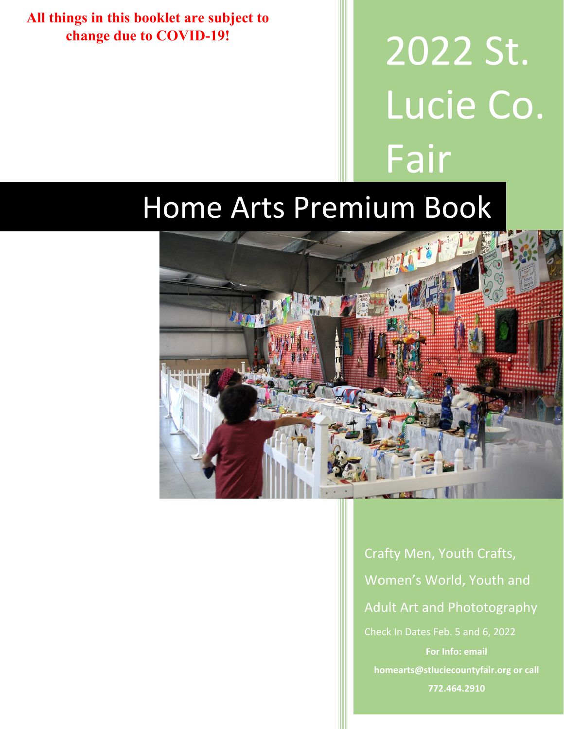**All things in this booklet are subject to change due to COVID-19!**

2022 St. Lucie Co. Fair

# Home Arts Premium Book



Crafty Men, Youth Crafts, Women's World, Youth and Adult Art and Phototography Check In Dates Feb. 5 and 6, 2022 **homearts@stluciecountyfair.org or call 772.464.2910**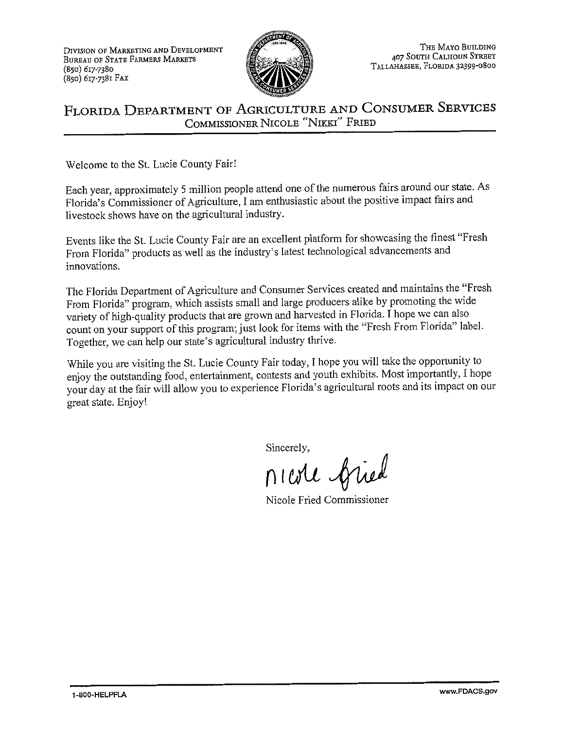DIVISION OF MARKETING AND DEVELOPMENT **BUREAU OF STATE FARMERS MARKETS**  $(850)$  617-7380 (850) 617-7381 FAX



#### FLORIDA DEPARTMENT OF AGRICULTURE AND CONSUMER SERVICES COMMISSIONER NICOLE "NIKKI" FRIED

Welcome to the St. Lucie County Fair!

Each year, approximately 5 million people attend one of the numerous fairs around our state. As Florida's Commissioner of Agriculture, I am enthusiastic about the positive impact fairs and livestock shows have on the agricultural industry.

Events like the St. Lucie County Fair are an excellent platform for showcasing the finest "Fresh From Florida" products as well as the industry's latest technological advancements and innovations.

The Florida Department of Agriculture and Consumer Services created and maintains the "Fresh From Florida" program, which assists small and large producers alike by promoting the wide variety of high-quality products that are grown and harvested in Florida. I hope we can also count on your support of this program; just look for items with the "Fresh From Florida" label. Together, we can help our state's agricultural industry thrive.

While you are visiting the St. Lucie County Fair today, I hope you will take the opportunity to enjoy the outstanding food, entertainment, contests and youth exhibits. Most importantly, I hope your day at the fair will allow you to experience Florida's agricultural roots and its impact on our great state. Enjoy!

Sincerely,

nicole fried

Nicole Fried Commissioner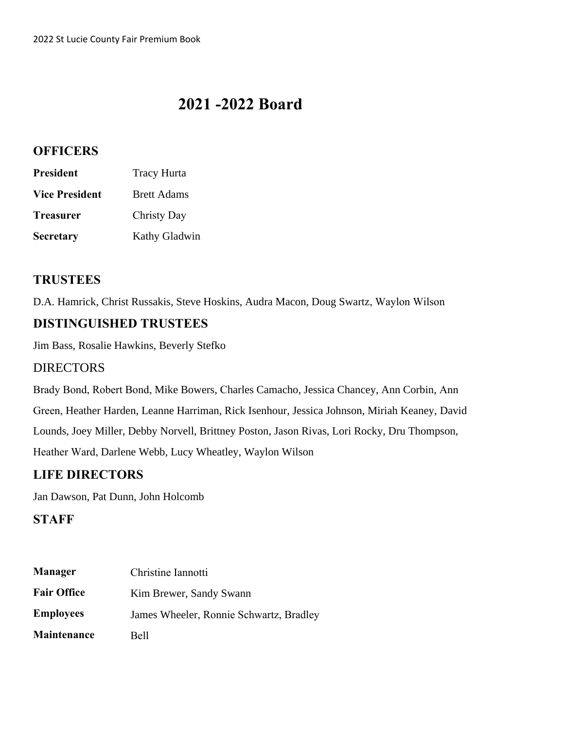### **2021 -2022 Board**

#### **OFFICERS**

| <b>President</b>      | <b>Tracy Hurta</b>   |
|-----------------------|----------------------|
| <b>Vice President</b> | <b>Brett Adams</b>   |
| <b>Treasurer</b>      | Christy Day          |
| <b>Secretary</b>      | <b>Kathy Gladwin</b> |

#### **TRUSTEES**

D.A. Hamrick, Christ Russakis, Steve Hoskins, Audra Macon, Doug Swartz, Waylon Wilson

#### **DISTINGUISHED TRUSTEES**

Jim Bass, Rosalie Hawkins, Beverly Stefko

#### DIRECTORS

Brady Bond, Robert Bond, Mike Bowers, Charles Camacho, Jessica Chancey, Ann Corbin, Ann Green, Heather Harden, Leanne Harriman, Rick Isenhour, Jessica Johnson, Miriah Keaney, David Lounds, Joey Miller, Debby Norvell, Brittney Poston, Jason Rivas, Lori Rocky, Dru Thompson, Heather Ward, Darlene Webb, Lucy Wheatley, Waylon Wilson

### **LIFE DIRECTORS**

Jan Dawson, Pat Dunn, John Holcomb

#### **STAFF**

| <b>Manager</b>     | Christine Iannotti                      |
|--------------------|-----------------------------------------|
| <b>Fair Office</b> | Kim Brewer, Sandy Swann                 |
| <b>Employees</b>   | James Wheeler, Ronnie Schwartz, Bradley |
| <b>Maintenance</b> | <b>Bell</b>                             |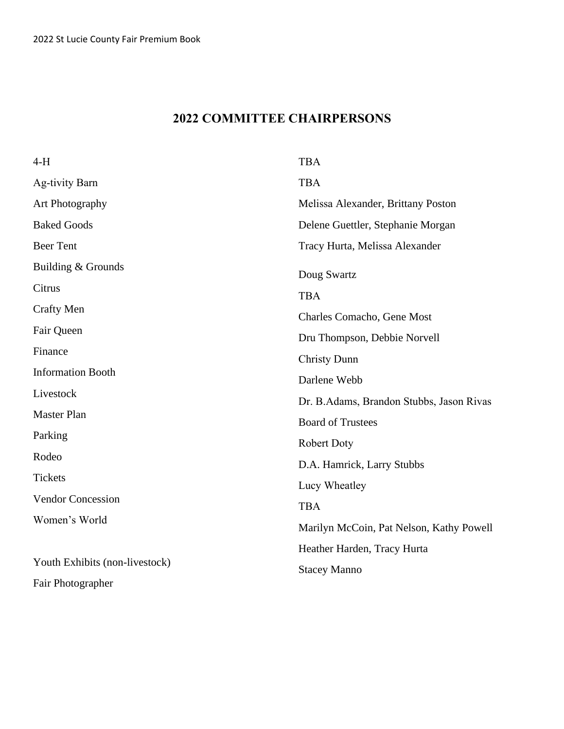### **2022 COMMITTEE CHAIRPERSONS**

| 4-H                            | <b>TBA</b>                               |
|--------------------------------|------------------------------------------|
| Ag-tivity Barn                 | <b>TBA</b>                               |
| Art Photography                | Melissa Alexander, Brittany Poston       |
| <b>Baked Goods</b>             | Delene Guettler, Stephanie Morgan        |
| <b>Beer Tent</b>               | Tracy Hurta, Melissa Alexander           |
| Building & Grounds             | Doug Swartz                              |
| Citrus                         | <b>TBA</b>                               |
| <b>Crafty Men</b>              | Charles Comacho, Gene Most               |
| Fair Queen                     | Dru Thompson, Debbie Norvell             |
| Finance                        | <b>Christy Dunn</b>                      |
| <b>Information Booth</b>       | Darlene Webb                             |
| Livestock                      | Dr. B.Adams, Brandon Stubbs, Jason Rivas |
| Master Plan                    | <b>Board of Trustees</b>                 |
| Parking                        | Robert Doty                              |
| Rodeo                          | D.A. Hamrick, Larry Stubbs               |
| <b>Tickets</b>                 | Lucy Wheatley                            |
| <b>Vendor Concession</b>       | <b>TBA</b>                               |
| Women's World                  | Marilyn McCoin, Pat Nelson, Kathy Powell |
|                                |                                          |
| Youth Exhibits (non-livestock) | Heather Harden, Tracy Hurta              |
| Fair Photographer              | <b>Stacey Manno</b>                      |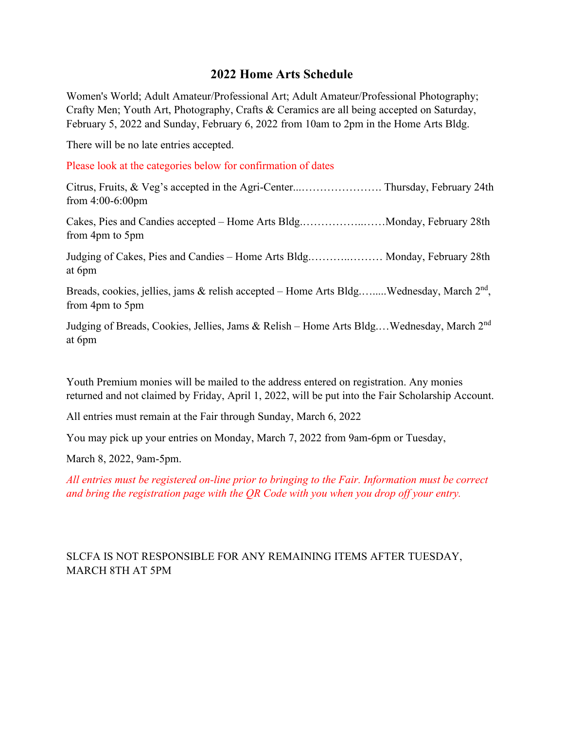#### **2022 Home Arts Schedule**

Women's World; Adult Amateur/Professional Art; Adult Amateur/Professional Photography; Crafty Men; Youth Art, Photography, Crafts & Ceramics are all being accepted on Saturday, February 5, 2022 and Sunday, February 6, 2022 from 10am to 2pm in the Home Arts Bldg.

There will be no late entries accepted.

Please look at the categories below for confirmation of dates

Citrus, Fruits, & Veg's accepted in the Agri-Center...…………………. Thursday, February 24th from 4:00-6:00pm

Cakes, Pies and Candies accepted – Home Arts Bldg.……………..……Monday, February 28th from 4pm to 5pm

Judging of Cakes, Pies and Candies – Home Arts Bldg.………..……… Monday, February 28th at 6pm

Breads, cookies, jellies, jams & relish accepted – Home Arts Bldg.........Wednesday, March  $2<sup>nd</sup>$ , from 4pm to 5pm

Judging of Breads, Cookies, Jellies, Jams & Relish – Home Arts Bldg.…Wednesday, March 2nd at 6pm

Youth Premium monies will be mailed to the address entered on registration. Any monies returned and not claimed by Friday, April 1, 2022, will be put into the Fair Scholarship Account.

All entries must remain at the Fair through Sunday, March 6, 2022

You may pick up your entries on Monday, March 7, 2022 from 9am-6pm or Tuesday,

March 8, 2022, 9am-5pm.

*All entries must be registered on-line prior to bringing to the Fair. Information must be correct and bring the registration page with the QR Code with you when you drop off your entry.*

#### SLCFA IS NOT RESPONSIBLE FOR ANY REMAINING ITEMS AFTER TUESDAY, MARCH 8TH AT 5PM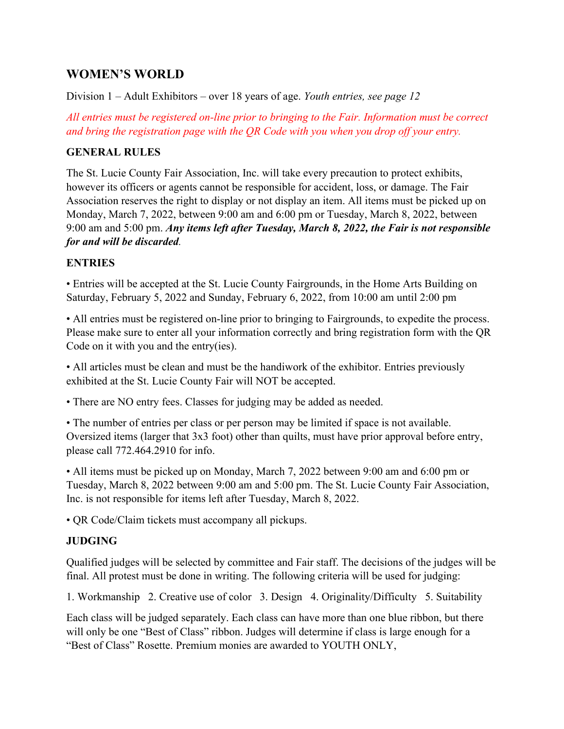#### **WOMEN'S WORLD**

Division 1 – Adult Exhibitors – over 18 years of age. *Youth entries, see page 12*

*All entries must be registered on-line prior to bringing to the Fair. Information must be correct and bring the registration page with the QR Code with you when you drop off your entry.*

#### **GENERAL RULES**

The St. Lucie County Fair Association, Inc. will take every precaution to protect exhibits, however its officers or agents cannot be responsible for accident, loss, or damage. The Fair Association reserves the right to display or not display an item. All items must be picked up on Monday, March 7, 2022, between 9:00 am and 6:00 pm or Tuesday, March 8, 2022, between 9:00 am and 5:00 pm. *Any items left after Tuesday, March 8, 2022, the Fair is not responsible for and will be discarded.*

#### **ENTRIES**

• Entries will be accepted at the St. Lucie County Fairgrounds, in the Home Arts Building on Saturday, February 5, 2022 and Sunday, February 6, 2022, from 10:00 am until 2:00 pm

• All entries must be registered on-line prior to bringing to Fairgrounds, to expedite the process. Please make sure to enter all your information correctly and bring registration form with the QR Code on it with you and the entry(ies).

• All articles must be clean and must be the handiwork of the exhibitor. Entries previously exhibited at the St. Lucie County Fair will NOT be accepted.

• There are NO entry fees. Classes for judging may be added as needed.

• The number of entries per class or per person may be limited if space is not available. Oversized items (larger that 3x3 foot) other than quilts, must have prior approval before entry, please call 772.464.2910 for info.

• All items must be picked up on Monday, March 7, 2022 between 9:00 am and 6:00 pm or Tuesday, March 8, 2022 between 9:00 am and 5:00 pm. The St. Lucie County Fair Association, Inc. is not responsible for items left after Tuesday, March 8, 2022.

• QR Code/Claim tickets must accompany all pickups.

#### **JUDGING**

Qualified judges will be selected by committee and Fair staff. The decisions of the judges will be final. All protest must be done in writing. The following criteria will be used for judging:

1. Workmanship 2. Creative use of color 3. Design 4. Originality/Difficulty 5. Suitability

Each class will be judged separately. Each class can have more than one blue ribbon, but there will only be one "Best of Class" ribbon. Judges will determine if class is large enough for a "Best of Class" Rosette. Premium monies are awarded to YOUTH ONLY,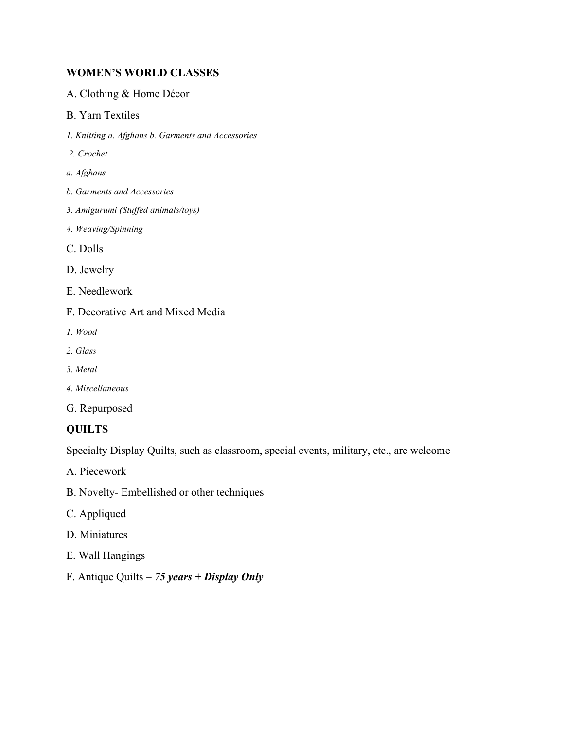#### **WOMEN'S WORLD CLASSES**

- A. Clothing & Home Décor
- B. Yarn Textiles
- *1. Knitting a. Afghans b. Garments and Accessories*
- *2. Crochet*
- *a. Afghans*
- *b. Garments and Accessories*
- *3. Amigurumi (Stuffed animals/toys)*
- *4. Weaving/Spinning*
- C. Dolls
- D. Jewelry
- E. Needlework
- F. Decorative Art and Mixed Media
- *1. Wood*
- *2. Glass*
- *3. Metal*
- *4. Miscellaneous*
- G. Repurposed

#### **QUILTS**

Specialty Display Quilts, such as classroom, special events, military, etc., are welcome

A. Piecework

- B. Novelty- Embellished or other techniques
- C. Appliqued
- D. Miniatures
- E. Wall Hangings
- F. Antique Quilts *75 years + Display Only*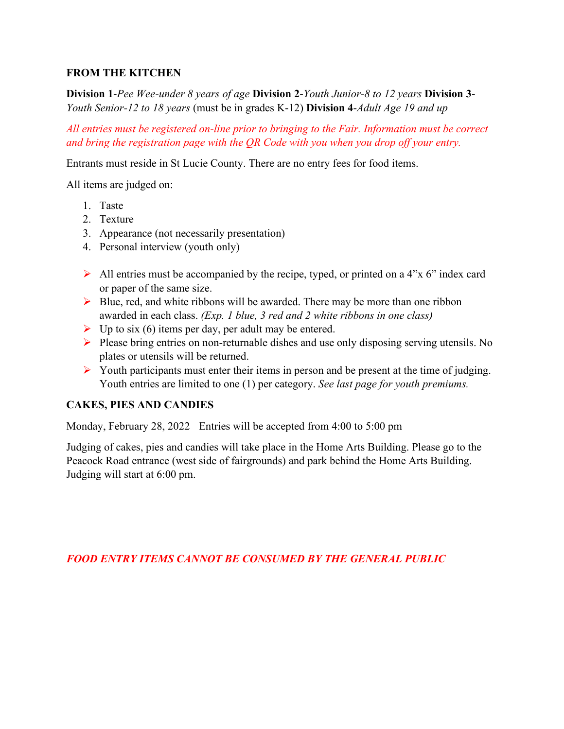#### **FROM THE KITCHEN**

**Division 1**-*Pee Wee-under 8 years of age* **Division 2**-*Youth Junior-8 to 12 years* **Division 3**- *Youth Senior-12 to 18 years* (must be in grades K-12) **Division 4**-*Adult Age 19 and up*

*All entries must be registered on-line prior to bringing to the Fair. Information must be correct and bring the registration page with the QR Code with you when you drop off your entry.*

Entrants must reside in St Lucie County. There are no entry fees for food items.

All items are judged on:

- 1. Taste
- 2. Texture
- 3. Appearance (not necessarily presentation)
- 4. Personal interview (youth only)
- $\triangleright$  All entries must be accompanied by the recipe, typed, or printed on a 4"x 6" index card or paper of the same size.
- $\triangleright$  Blue, red, and white ribbons will be awarded. There may be more than one ribbon awarded in each class. *(Exp. 1 blue, 3 red and 2 white ribbons in one class)*
- $\triangleright$  Up to six (6) items per day, per adult may be entered.
- Please bring entries on non-returnable dishes and use only disposing serving utensils. No plates or utensils will be returned.
- $\triangleright$  Youth participants must enter their items in person and be present at the time of judging. Youth entries are limited to one (1) per category. *See last page for youth premiums.*

#### **CAKES, PIES AND CANDIES**

Monday, February 28, 2022 Entries will be accepted from 4:00 to 5:00 pm

Judging of cakes, pies and candies will take place in the Home Arts Building. Please go to the Peacock Road entrance (west side of fairgrounds) and park behind the Home Arts Building. Judging will start at 6:00 pm.

*FOOD ENTRY ITEMS CANNOT BE CONSUMED BY THE GENERAL PUBLIC*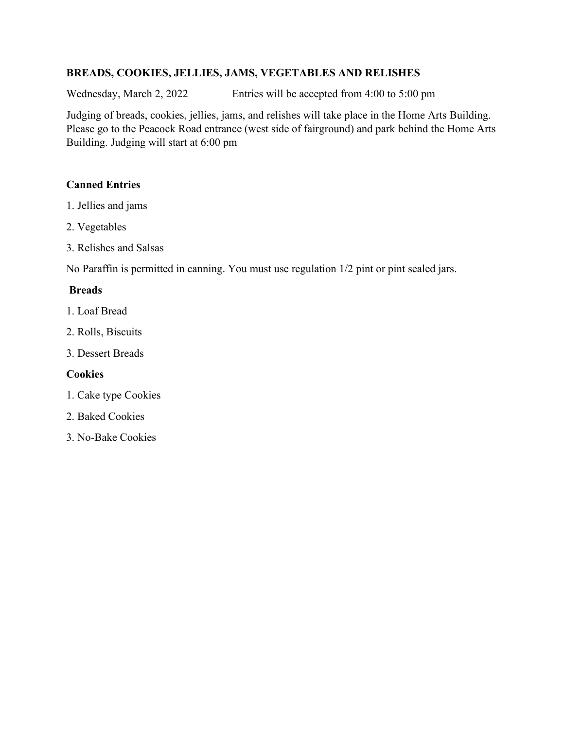#### **BREADS, COOKIES, JELLIES, JAMS, VEGETABLES AND RELISHES**

Wednesday, March 2, 2022 Entries will be accepted from 4:00 to 5:00 pm

Judging of breads, cookies, jellies, jams, and relishes will take place in the Home Arts Building. Please go to the Peacock Road entrance (west side of fairground) and park behind the Home Arts Building. Judging will start at 6:00 pm

#### **Canned Entries**

- 1. Jellies and jams
- 2. Vegetables
- 3. Relishes and Salsas

No Paraffin is permitted in canning. You must use regulation 1/2 pint or pint sealed jars.

#### **Breads**

- 1. Loaf Bread
- 2. Rolls, Biscuits
- 3. Dessert Breads

#### **Cookies**

- 1. Cake type Cookies
- 2. Baked Cookies
- 3. No-Bake Cookies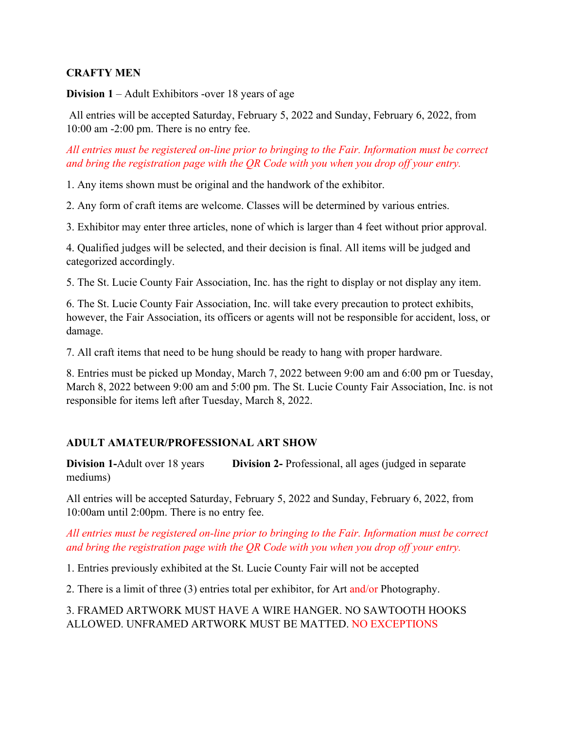#### **CRAFTY MEN**

**Division 1** – Adult Exhibitors -over 18 years of age

All entries will be accepted Saturday, February 5, 2022 and Sunday, February 6, 2022, from 10:00 am -2:00 pm. There is no entry fee.

#### *All entries must be registered on-line prior to bringing to the Fair. Information must be correct and bring the registration page with the QR Code with you when you drop off your entry.*

1. Any items shown must be original and the handwork of the exhibitor.

2. Any form of craft items are welcome. Classes will be determined by various entries.

3. Exhibitor may enter three articles, none of which is larger than 4 feet without prior approval.

4. Qualified judges will be selected, and their decision is final. All items will be judged and categorized accordingly.

5. The St. Lucie County Fair Association, Inc. has the right to display or not display any item.

6. The St. Lucie County Fair Association, Inc. will take every precaution to protect exhibits, however, the Fair Association, its officers or agents will not be responsible for accident, loss, or damage.

7. All craft items that need to be hung should be ready to hang with proper hardware.

8. Entries must be picked up Monday, March 7, 2022 between 9:00 am and 6:00 pm or Tuesday, March 8, 2022 between 9:00 am and 5:00 pm. The St. Lucie County Fair Association, Inc. is not responsible for items left after Tuesday, March 8, 2022.

#### **ADULT AMATEUR/PROFESSIONAL ART SHOW**

**Division 1-Adult over 18 years <b>Division 2-** Professional, all ages (judged in separate mediums)

All entries will be accepted Saturday, February 5, 2022 and Sunday, February 6, 2022, from 10:00am until 2:00pm. There is no entry fee.

#### *All entries must be registered on-line prior to bringing to the Fair. Information must be correct and bring the registration page with the QR Code with you when you drop off your entry.*

1. Entries previously exhibited at the St. Lucie County Fair will not be accepted

2. There is a limit of three (3) entries total per exhibitor, for Art and/or Photography.

#### 3. FRAMED ARTWORK MUST HAVE A WIRE HANGER. NO SAWTOOTH HOOKS ALLOWED. UNFRAMED ARTWORK MUST BE MATTED. NO EXCEPTIONS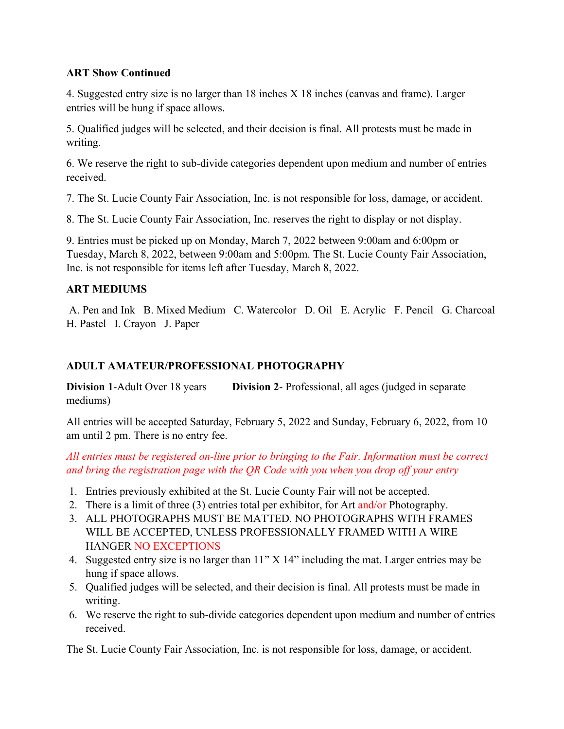#### **ART Show Continued**

4. Suggested entry size is no larger than 18 inches X 18 inches (canvas and frame). Larger entries will be hung if space allows.

5. Qualified judges will be selected, and their decision is final. All protests must be made in writing.

6. We reserve the right to sub-divide categories dependent upon medium and number of entries received.

7. The St. Lucie County Fair Association, Inc. is not responsible for loss, damage, or accident.

8. The St. Lucie County Fair Association, Inc. reserves the right to display or not display.

9. Entries must be picked up on Monday, March 7, 2022 between 9:00am and 6:00pm or Tuesday, March 8, 2022, between 9:00am and 5:00pm. The St. Lucie County Fair Association, Inc. is not responsible for items left after Tuesday, March 8, 2022.

#### **ART MEDIUMS**

A. Pen and Ink B. Mixed Medium C. Watercolor D. Oil E. Acrylic F. Pencil G. Charcoal H. Pastel I. Crayon J. Paper

#### **ADULT AMATEUR/PROFESSIONAL PHOTOGRAPHY**

**Division 1-Adult Over 18 years <b>Division 2-** Professional, all ages (judged in separate mediums)

All entries will be accepted Saturday, February 5, 2022 and Sunday, February 6, 2022, from 10 am until 2 pm. There is no entry fee.

*All entries must be registered on-line prior to bringing to the Fair. Information must be correct and bring the registration page with the QR Code with you when you drop off your entry*

- 1. Entries previously exhibited at the St. Lucie County Fair will not be accepted.
- 2. There is a limit of three (3) entries total per exhibitor, for Art and/or Photography.
- 3. ALL PHOTOGRAPHS MUST BE MATTED. NO PHOTOGRAPHS WITH FRAMES WILL BE ACCEPTED, UNLESS PROFESSIONALLY FRAMED WITH A WIRE HANGER NO EXCEPTIONS
- 4. Suggested entry size is no larger than 11" X 14" including the mat. Larger entries may be hung if space allows.
- 5. Qualified judges will be selected, and their decision is final. All protests must be made in writing.
- 6. We reserve the right to sub-divide categories dependent upon medium and number of entries received.

The St. Lucie County Fair Association, Inc. is not responsible for loss, damage, or accident.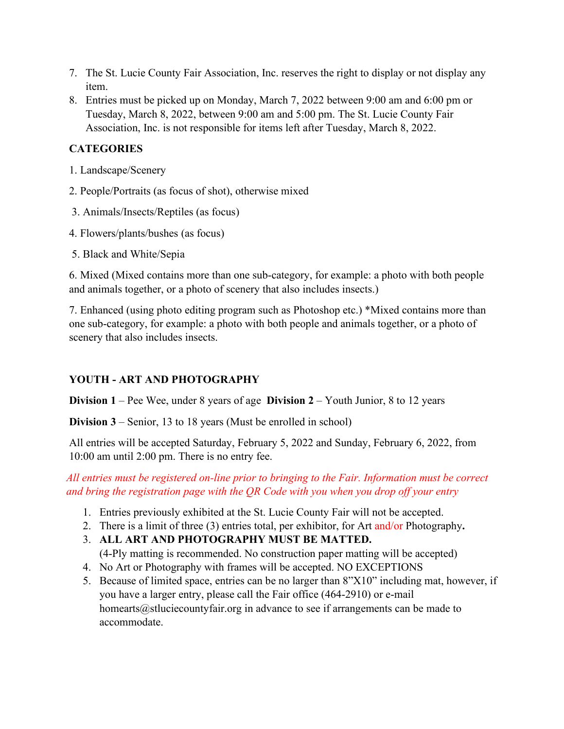- 7. The St. Lucie County Fair Association, Inc. reserves the right to display or not display any item.
- 8. Entries must be picked up on Monday, March 7, 2022 between 9:00 am and 6:00 pm or Tuesday, March 8, 2022, between 9:00 am and 5:00 pm. The St. Lucie County Fair Association, Inc. is not responsible for items left after Tuesday, March 8, 2022.

#### **CATEGORIES**

- 1. Landscape/Scenery
- 2. People/Portraits (as focus of shot), otherwise mixed
- 3. Animals/Insects/Reptiles (as focus)
- 4. Flowers/plants/bushes (as focus)
- 5. Black and White/Sepia

6. Mixed (Mixed contains more than one sub-category, for example: a photo with both people and animals together, or a photo of scenery that also includes insects.)

7. Enhanced (using photo editing program such as Photoshop etc.) \*Mixed contains more than one sub-category, for example: a photo with both people and animals together, or a photo of scenery that also includes insects.

#### **YOUTH - ART AND PHOTOGRAPHY**

**Division 1** – Pee Wee, under 8 years of age **Division 2** – Youth Junior, 8 to 12 years

**Division 3** – Senior, 13 to 18 years (Must be enrolled in school)

All entries will be accepted Saturday, February 5, 2022 and Sunday, February 6, 2022, from 10:00 am until 2:00 pm. There is no entry fee.

*All entries must be registered on-line prior to bringing to the Fair. Information must be correct and bring the registration page with the QR Code with you when you drop off your entry*

- 1. Entries previously exhibited at the St. Lucie County Fair will not be accepted.
- 2. There is a limit of three (3) entries total, per exhibitor, for Art and/or Photography**.**
- 3. **ALL ART AND PHOTOGRAPHY MUST BE MATTED.**  (4-Ply matting is recommended. No construction paper matting will be accepted)
- 4. No Art or Photography with frames will be accepted. NO EXCEPTIONS
- 5. Because of limited space, entries can be no larger than 8"X10" including mat, however, if you have a larger entry, please call the Fair office (464-2910) or e-mail homearts@stluciecountyfair.org in advance to see if arrangements can be made to accommodate.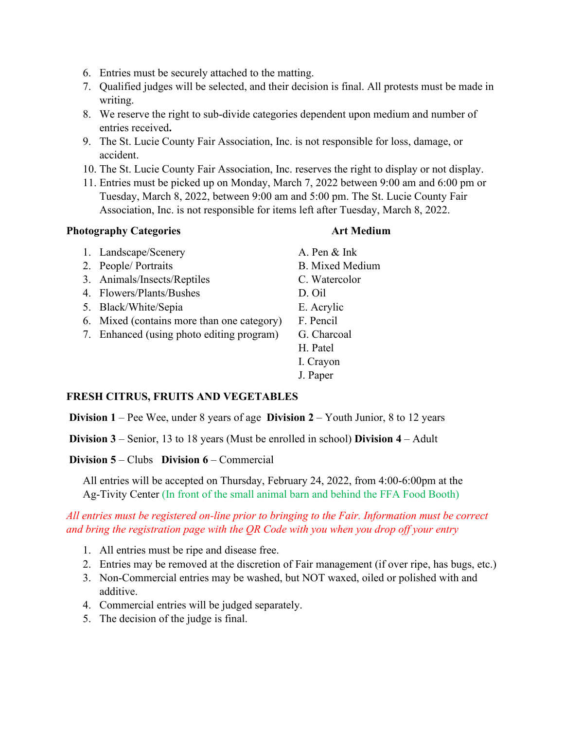- 6. Entries must be securely attached to the matting.
- 7. Qualified judges will be selected, and their decision is final. All protests must be made in writing.
- 8. We reserve the right to sub-divide categories dependent upon medium and number of entries received**.**
- 9. The St. Lucie County Fair Association, Inc. is not responsible for loss, damage, or accident.
- 10. The St. Lucie County Fair Association, Inc. reserves the right to display or not display.
- 11. Entries must be picked up on Monday, March 7, 2022 between 9:00 am and 6:00 pm or Tuesday, March 8, 2022, between 9:00 am and 5:00 pm. The St. Lucie County Fair Association, Inc. is not responsible for items left after Tuesday, March 8, 2022.

#### **Photography Categories Art Medium**

1. Landscape/Scenery A. Pen & Ink 2. People/ Portraits B. Mixed Medium 3. Animals/Insects/Reptiles C. Watercolor 4. Flowers/Plants/Bushes D. Oil 5. Black/White/Sepia E. Acrylic 6. Mixed (contains more than one category) F. Pencil 7. Enhanced (using photo editing program) G. Charcoal H. Patel I. Crayon J. Paper

#### **FRESH CITRUS, FRUITS AND VEGETABLES**

**Division 1** – Pee Wee, under 8 years of age **Division 2** – Youth Junior, 8 to 12 years

**Division 3** – Senior, 13 to 18 years (Must be enrolled in school) **Division 4** – Adult

#### **Division 5** – Clubs **Division 6** – Commercial

All entries will be accepted on Thursday, February 24, 2022, from 4:00-6:00pm at the Ag-Tivity Center (In front of the small animal barn and behind the FFA Food Booth)

#### *All entries must be registered on-line prior to bringing to the Fair. Information must be correct and bring the registration page with the QR Code with you when you drop off your entry*

- 1. All entries must be ripe and disease free.
- 2. Entries may be removed at the discretion of Fair management (if over ripe, has bugs, etc.)
- 3. Non-Commercial entries may be washed, but NOT waxed, oiled or polished with and additive.
- 4. Commercial entries will be judged separately.
- 5. The decision of the judge is final.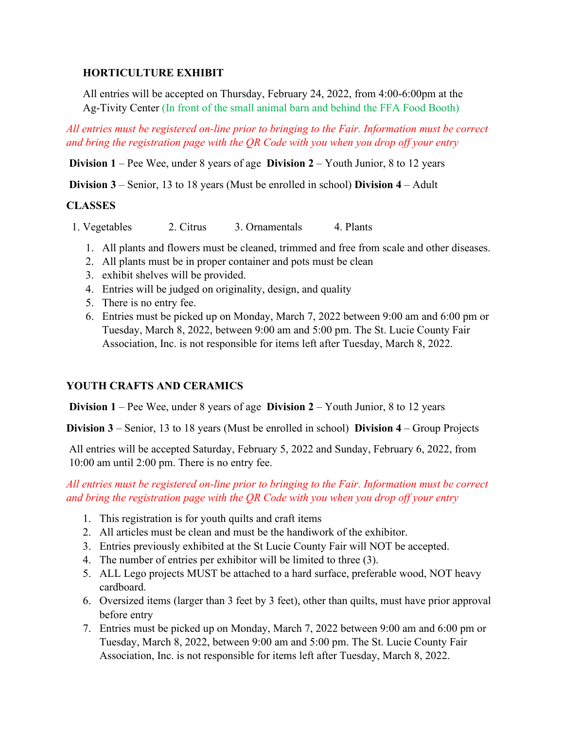#### **HORTICULTURE EXHIBIT**

All entries will be accepted on Thursday, February 24, 2022, from 4:00-6:00pm at the Ag-Tivity Center (In front of the small animal barn and behind the FFA Food Booth)

*All entries must be registered on-line prior to bringing to the Fair. Information must be correct and bring the registration page with the QR Code with you when you drop off your entry*

**Division 1** – Pee Wee, under 8 years of age **Division 2** – Youth Junior, 8 to 12 years

**Division 3** – Senior, 13 to 18 years (Must be enrolled in school) **Division 4** – Adult

#### **CLASSES**

- 1. Vegetables 2. Citrus 3. Ornamentals 4. Plants
	- 1. All plants and flowers must be cleaned, trimmed and free from scale and other diseases.
	- 2. All plants must be in proper container and pots must be clean
	- 3. exhibit shelves will be provided.
	- 4. Entries will be judged on originality, design, and quality
	- 5. There is no entry fee.
	- 6. Entries must be picked up on Monday, March 7, 2022 between 9:00 am and 6:00 pm or Tuesday, March 8, 2022, between 9:00 am and 5:00 pm. The St. Lucie County Fair Association, Inc. is not responsible for items left after Tuesday, March 8, 2022.

#### **YOUTH CRAFTS AND CERAMICS**

**Division 1** – Pee Wee, under 8 years of age **Division 2** – Youth Junior, 8 to 12 years

**Division 3** – Senior, 13 to 18 years (Must be enrolled in school) **Division 4** – Group Projects

All entries will be accepted Saturday, February 5, 2022 and Sunday, February 6, 2022, from 10:00 am until 2:00 pm. There is no entry fee.

#### *All entries must be registered on-line prior to bringing to the Fair. Information must be correct and bring the registration page with the QR Code with you when you drop off your entry*

- 1. This registration is for youth quilts and craft items
- 2. All articles must be clean and must be the handiwork of the exhibitor.
- 3. Entries previously exhibited at the St Lucie County Fair will NOT be accepted.
- 4. The number of entries per exhibitor will be limited to three (3).
- 5. ALL Lego projects MUST be attached to a hard surface, preferable wood, NOT heavy cardboard.
- 6. Oversized items (larger than 3 feet by 3 feet), other than quilts, must have prior approval before entry
- 7. Entries must be picked up on Monday, March 7, 2022 between 9:00 am and 6:00 pm or Tuesday, March 8, 2022, between 9:00 am and 5:00 pm. The St. Lucie County Fair Association, Inc. is not responsible for items left after Tuesday, March 8, 2022.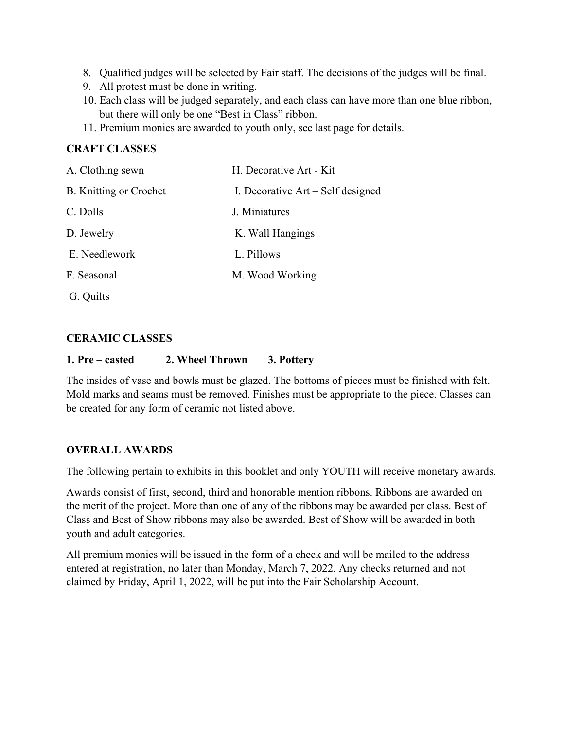- 8. Qualified judges will be selected by Fair staff. The decisions of the judges will be final.
- 9. All protest must be done in writing.
- 10. Each class will be judged separately, and each class can have more than one blue ribbon, but there will only be one "Best in Class" ribbon.
- 11. Premium monies are awarded to youth only, see last page for details.

#### **CRAFT CLASSES**

| A. Clothing sewn              | H. Decorative Art - Kit             |
|-------------------------------|-------------------------------------|
| <b>B.</b> Knitting or Crochet | I. Decorative $Art - Self$ designed |
| C. Dolls                      | J. Miniatures                       |
| D. Jewelry                    | K. Wall Hangings                    |
| E. Needlework                 | L. Pillows                          |
| F. Seasonal                   | M. Wood Working                     |
| G. Quilts                     |                                     |

#### **CERAMIC CLASSES**

#### **1. Pre – casted 2. Wheel Thrown 3. Pottery**

The insides of vase and bowls must be glazed. The bottoms of pieces must be finished with felt. Mold marks and seams must be removed. Finishes must be appropriate to the piece. Classes can be created for any form of ceramic not listed above.

#### **OVERALL AWARDS**

The following pertain to exhibits in this booklet and only YOUTH will receive monetary awards.

Awards consist of first, second, third and honorable mention ribbons. Ribbons are awarded on the merit of the project. More than one of any of the ribbons may be awarded per class. Best of Class and Best of Show ribbons may also be awarded. Best of Show will be awarded in both youth and adult categories.

All premium monies will be issued in the form of a check and will be mailed to the address entered at registration, no later than Monday, March 7, 2022. Any checks returned and not claimed by Friday, April 1, 2022, will be put into the Fair Scholarship Account.